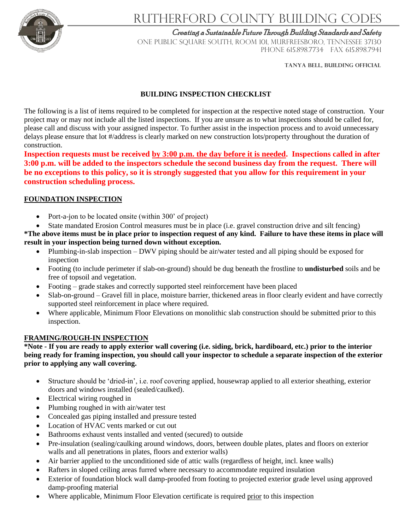

# Rutherford County Building Codes

Creating a Sustainable Future Through Building Standards and Safety

ONE PUBLIC SQUARE SOUTH, ROOM 101, MURFREESBORO, TENNESSEE 37130 PHONE 615.898.7734 FAX 615.898.7941

**TANYA belL, BUILDING OFFICIAL**

### **BUILDING INSPECTION CHECKLIST**

The following is a list of items required to be completed for inspection at the respective noted stage of construction. Your project may or may not include all the listed inspections. If you are unsure as to what inspections should be called for, please call and discuss with your assigned inspector. To further assist in the inspection process and to avoid unnecessary delays please ensure that lot #/address is clearly marked on new construction lots/property throughout the duration of construction.

**Inspection requests must be received by 3:00 p.m. the day before it is needed. Inspections called in after 3:00 p.m. will be added to the inspectors schedule the second business day from the request. There will be no exceptions to this policy, so it is strongly suggested that you allow for this requirement in your construction scheduling process.**

#### **FOUNDATION INSPECTION**

- Port-a-jon to be located onsite (within 300' of project)
- State mandated Erosion Control measures must be in place (i.e. gravel construction drive and silt fencing)

**\*The above items must be in place prior to inspection request of any kind. Failure to have these items in place will result in your inspection being turned down without exception.**

- Plumbing-in-slab inspection DWV piping should be air/water tested and all piping should be exposed for inspection
- Footing (to include perimeter if slab-on-ground) should be dug beneath the frostline to **undisturbed** soils and be free of topsoil and vegetation.
- Footing grade stakes and correctly supported steel reinforcement have been placed
- Slab-on-ground Gravel fill in place, moisture barrier, thickened areas in floor clearly evident and have correctly supported steel reinforcement in place where required.
- Where applicable, Minimum Floor Elevations on monolithic slab construction should be submitted prior to this inspection.

#### **FRAMING/ROUGH-IN INSPECTION**

**\*Note - If you are ready to apply exterior wall covering (i.e. siding, brick, hardiboard, etc.) prior to the interior being ready for framing inspection, you should call your inspector to schedule a separate inspection of the exterior prior to applying any wall covering.**

- Structure should be 'dried-in', i.e. roof covering applied, housewrap applied to all exterior sheathing, exterior doors and windows installed (sealed/caulked).
- Electrical wiring roughed in
- Plumbing roughed in with air/water test
- Concealed gas piping installed and pressure tested
- Location of HVAC vents marked or cut out
- Bathrooms exhaust vents installed and vented (secured) to outside
- Pre-insulation (sealing/caulking around windows, doors, between double plates, plates and floors on exterior walls and all penetrations in plates, floors and exterior walls)
- Air barrier applied to the unconditioned side of attic walls (regardless of height, incl. knee walls)
- Rafters in sloped ceiling areas furred where necessary to accommodate required insulation
- Exterior of foundation block wall damp-proofed from footing to projected exterior grade level using approved damp-proofing material
- Where applicable, Minimum Floor Elevation certificate is required prior to this inspection